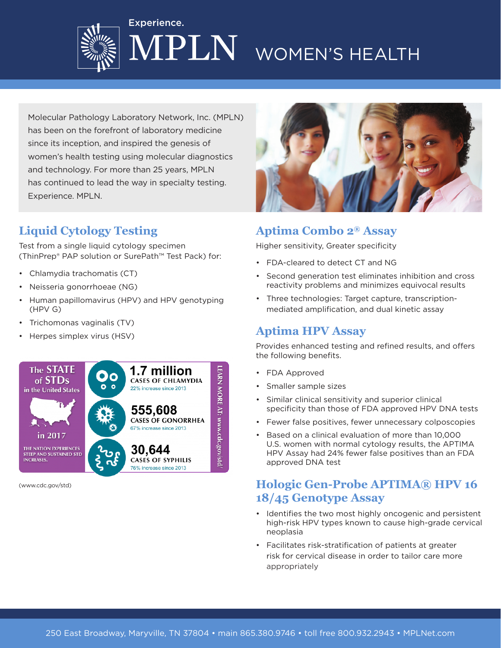



Molecular Pathology Laboratory Network, Inc. (MPLN) has been on the forefront of laboratory medicine since its inception, and inspired the genesis of women's health testing using molecular diagnostics and technology. For more than 25 years, MPLN has continued to lead the way in specialty testing. Experience. MPLN.

Experience.

# **Liquid Cytology Testing**

Test from a single liquid cytology specimen (ThinPrep® PAP solution or SurePath™ Test Pack) for:

- Chlamydia trachomatis (CT)
- Neisseria gonorrhoeae (NG)
- Human papillomavirus (HPV) and HPV genotyping (HPV G)
- Trichomonas vaginalis (TV)
- Herpes simplex virus (HSV)



(www.cdc.gov/std)



#### **Aptima Combo 2® Assay**

Higher sensitivity, Greater specificity

- FDA-cleared to detect CT and NG
- Second generation test eliminates inhibition and cross reactivity problems and minimizes equivocal results
- Three technologies: Target capture, transcriptionmediated amplification, and dual kinetic assay

#### **Aptima HPV Assay**

Provides enhanced testing and refined results, and offers the following benefits.

- FDA Approved
- Smaller sample sizes
- Similar clinical sensitivity and superior clinical specificity than those of FDA approved HPV DNA tests
- Fewer false positives, fewer unnecessary colposcopies
- Based on a clinical evaluation of more than 10,000 U.S. women with normal cytology results, the APTIMA HPV Assay had 24% fewer false positives than an FDA approved DNA test

### **Hologic Gen-Probe APTIMA® HPV 16 18/45 Genotype Assay**

- Identifies the two most highly oncogenic and persistent high-risk HPV types known to cause high-grade cervical neoplasia
- Facilitates risk-stratification of patients at greater risk for cervical disease in order to tailor care more appropriately